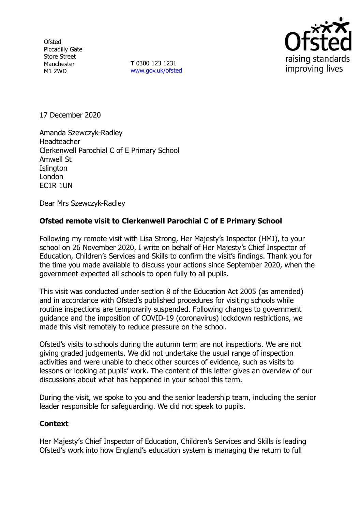**Ofsted** Piccadilly Gate Store Street Manchester M1 2WD

**T** 0300 123 1231 [www.gov.uk/ofsted](http://www.gov.uk/ofsted)



17 December 2020

Amanda Szewczyk-Radley Headteacher Clerkenwell Parochial C of E Primary School Amwell St **Islington** London EC1R 1UN

Dear Mrs Szewczyk-Radley

## **Ofsted remote visit to Clerkenwell Parochial C of E Primary School**

Following my remote visit with Lisa Strong, Her Majesty's Inspector (HMI), to your school on 26 November 2020, I write on behalf of Her Majesty's Chief Inspector of Education, Children's Services and Skills to confirm the visit's findings. Thank you for the time you made available to discuss your actions since September 2020, when the government expected all schools to open fully to all pupils.

This visit was conducted under section 8 of the Education Act 2005 (as amended) and in accordance with Ofsted's published procedures for visiting schools while routine inspections are temporarily suspended. Following changes to government guidance and the imposition of COVID-19 (coronavirus) lockdown restrictions, we made this visit remotely to reduce pressure on the school.

Ofsted's visits to schools during the autumn term are not inspections. We are not giving graded judgements. We did not undertake the usual range of inspection activities and were unable to check other sources of evidence, such as visits to lessons or looking at pupils' work. The content of this letter gives an overview of our discussions about what has happened in your school this term.

During the visit, we spoke to you and the senior leadership team, including the senior leader responsible for safeguarding. We did not speak to pupils.

## **Context**

Her Majesty's Chief Inspector of Education, Children's Services and Skills is leading Ofsted's work into how England's education system is managing the return to full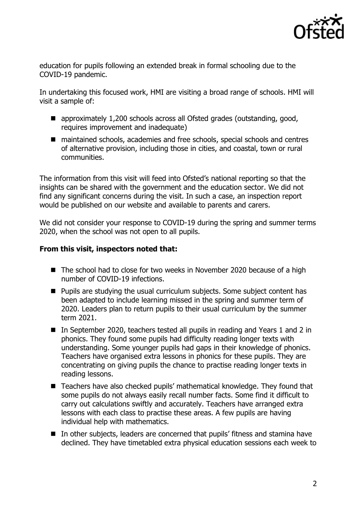

education for pupils following an extended break in formal schooling due to the COVID-19 pandemic.

In undertaking this focused work, HMI are visiting a broad range of schools. HMI will visit a sample of:

- approximately 1,200 schools across all Ofsted grades (outstanding, good, requires improvement and inadequate)
- maintained schools, academies and free schools, special schools and centres of alternative provision, including those in cities, and coastal, town or rural communities.

The information from this visit will feed into Ofsted's national reporting so that the insights can be shared with the government and the education sector. We did not find any significant concerns during the visit. In such a case, an inspection report would be published on our website and available to parents and carers.

We did not consider your response to COVID-19 during the spring and summer terms 2020, when the school was not open to all pupils.

## **From this visit, inspectors noted that:**

- The school had to close for two weeks in November 2020 because of a high number of COVID-19 infections.
- **Pupils are studying the usual curriculum subjects. Some subject content has** been adapted to include learning missed in the spring and summer term of 2020. Leaders plan to return pupils to their usual curriculum by the summer term 2021.
- In September 2020, teachers tested all pupils in reading and Years 1 and 2 in phonics. They found some pupils had difficulty reading longer texts with understanding. Some younger pupils had gaps in their knowledge of phonics. Teachers have organised extra lessons in phonics for these pupils. They are concentrating on giving pupils the chance to practise reading longer texts in reading lessons.
- Teachers have also checked pupils' mathematical knowledge. They found that some pupils do not always easily recall number facts. Some find it difficult to carry out calculations swiftly and accurately. Teachers have arranged extra lessons with each class to practise these areas. A few pupils are having individual help with mathematics.
- In other subjects, leaders are concerned that pupils' fitness and stamina have declined. They have timetabled extra physical education sessions each week to